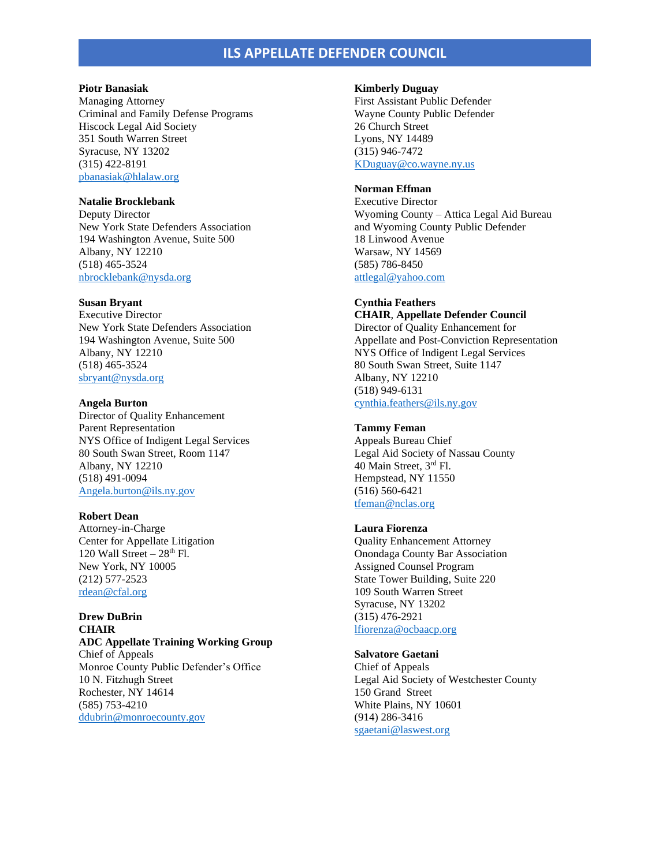# **ILS APPELLATE DEFENDER COUNCIL**

### **Piotr Banasiak**

Managing Attorney Criminal and Family Defense Programs Hiscock Legal Aid Society 351 South Warren Street Syracuse, NY 13202 (315) 422-8191 [pbanasiak@hlalaw.org](mailto:pbanasiak@hlalaw.org)

### **Natalie Brocklebank**

Deputy Director New York State Defenders Association 194 Washington Avenue, Suite 500 Albany, NY 12210 (518) 465-3524 [nbrocklebank@nysda.org](mailto:nbrocklebank@nysda.org)

### **Susan Bryant**

Executive Director New York State Defenders Association 194 Washington Avenue, Suite 500 Albany, NY 12210 (518) 465-3524 [sbryant@nysda.org](mailto:sbryant@nysda.org)

### **Angela Burton**

Director of Quality Enhancement Parent Representation NYS Office of Indigent Legal Services 80 South Swan Street, Room 1147 Albany, NY 12210 (518) 491-0094 [Angela.burton@ils.ny.gov](mailto:Angela.burton@ils.ny.gov)

#### **Robert Dean**

Attorney-in-Charge Center for Appellate Litigation 120 Wall Street  $-28<sup>th</sup>$  Fl. New York, NY 10005 (212) 577-2523 [rdean@cfal.org](mailto:rdean@cfal.org)

# **Drew DuBrin CHAIR ADC Appellate Training Working Group**

Chief of Appeals Monroe County Public Defender's Office 10 N. Fitzhugh Street Rochester, NY 14614 (585) 753-4210 [ddubrin@monroecounty.gov](mailto:ddubrin@monroecounty.gov)

#### **Kimberly Duguay**

First Assistant Public Defender Wayne County Public Defender 26 Church Street Lyons, NY 14489 (315) 946-7472 [KDuguay@co.wayne.ny.us](mailto:KDuguay@co.wayne.ny.us)

# **Norman Effman**

Executive Director Wyoming County – Attica Legal Aid Bureau and Wyoming County Public Defender 18 Linwood Avenue Warsaw, NY 14569 (585) 786-8450 [attlegal@yahoo.com](mailto:attlegal@yahoo.com)

### **Cynthia Feathers**

**CHAIR**, **Appellate Defender Council** Director of Quality Enhancement for Appellate and Post-Conviction Representation NYS Office of Indigent Legal Services 80 South Swan Street, Suite 1147 Albany, NY 12210 (518) 949-6131 [cynthia.feathers@ils.ny.gov](mailto:cynthia.feathers@ils.ny.gov)

### **Tammy Feman**

Appeals Bureau Chief Legal Aid Society of Nassau County 40 Main Street, 3rd Fl. Hempstead, NY 11550 (516) 560-6421 [tfeman@nclas.org](mailto:tfeman@nclas.org)

## **Laura Fiorenza**

Quality Enhancement Attorney Onondaga County Bar Association Assigned Counsel Program State Tower Building, Suite 220 109 South Warren Street Syracuse, NY 13202 (315) 476-2921 [lfiorenza@ocbaacp.org](mailto:lfiorenza@ocbaacp.org)

## **Salvatore Gaetani**

Chief of Appeals Legal Aid Society of Westchester County 150 Grand Street White Plains, NY 10601 (914) 286-3416 [sgaetani@laswest.org](mailto:sgaetani@laswest.org)